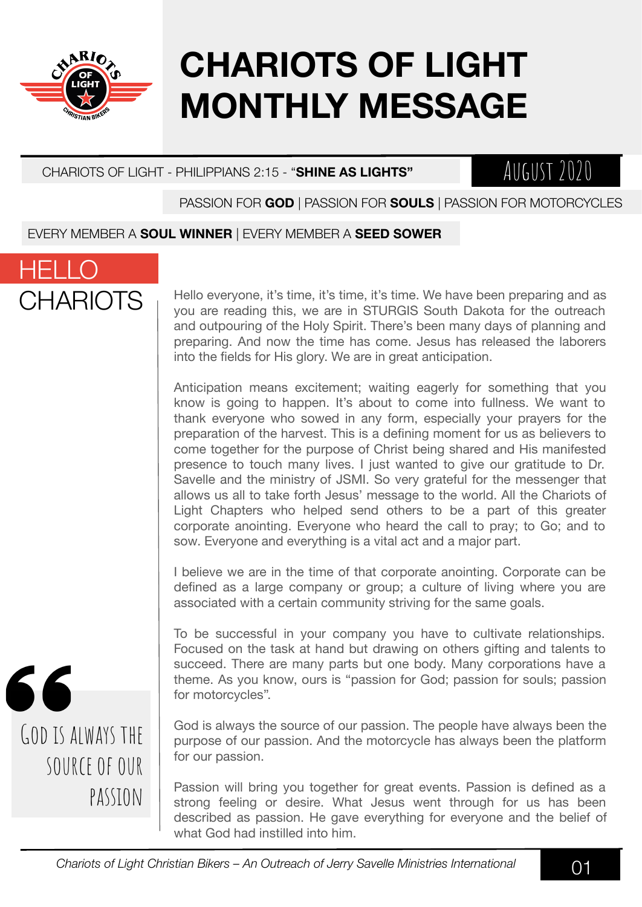

# **CHARIOTS OF LIGHT MONTHLY MESSAGE**

#### CHARIOTS OF LIGHT - PHILIPPIANS 2:15 - "**SHINE AS LIGHTS"**

### August 2020

#### PASSION FOR **GOD** | PASSION FOR **SOULS** | PASSION FOR MOTORCYCLES

#### EVERY MEMBER A **SOUL WINNER** | EVERY MEMBER A **SEED SOWER**



Hello everyone, it's time, it's time, it's time. We have been preparing and as you are reading this, we are in STURGIS South Dakota for the outreach and outpouring of the Holy Spirit. There's been many days of planning and preparing. And now the time has come. Jesus has released the laborers into the fields for His glory. We are in great anticipation.

Anticipation means excitement; waiting eagerly for something that you know is going to happen. It's about to come into fullness. We want to thank everyone who sowed in any form, especially your prayers for the preparation of the harvest. This is a defining moment for us as believers to come together for the purpose of Christ being shared and His manifested presence to touch many lives. I just wanted to give our gratitude to Dr. Savelle and the ministry of JSMI. So very grateful for the messenger that allows us all to take forth Jesus' message to the world. All the Chariots of Light Chapters who helped send others to be a part of this greater corporate anointing. Everyone who heard the call to pray; to Go; and to sow. Everyone and everything is a vital act and a major part.

I believe we are in the time of that corporate anointing. Corporate can be defined as a large company or group; a culture of living where you are associated with a certain community striving for the same goals.

To be successful in your company you have to cultivate relationships. Focused on the task at hand but drawing on others gifting and talents to succeed. There are many parts but one body. Many corporations have a theme. As you know, ours is "passion for God; passion for souls; passion for motorcycles".

God is always the source of our passion. The people have always been the purpose of our passion. And the motorcycle has always been the platform for our passion.

Passion will bring you together for great events. Passion is defined as a strong feeling or desire. What Jesus went through for us has been described as passion. He gave everything for everyone and the belief of what God had instilled into him.

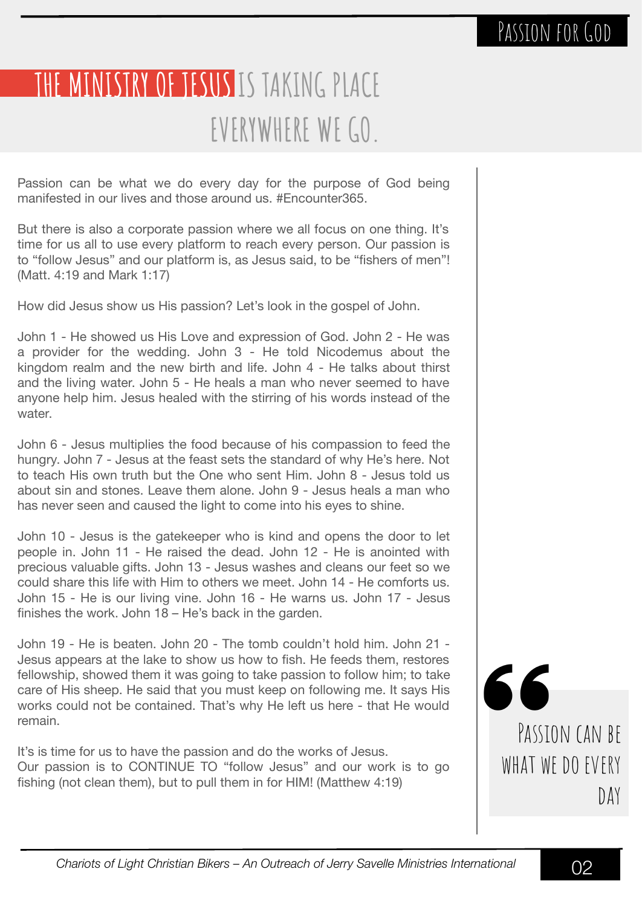## **THE MINISTRY OF JESUS IS TAKING PLACE EVERYWHERE WE GO.**

Passion can be what we do every day for the purpose of God being manifested in our lives and those around us. #Encounter365.

But there is also a corporate passion where we all focus on one thing. It's time for us all to use every platform to reach every person. Our passion is to "follow Jesus" and our platform is, as Jesus said, to be "fishers of men"! (Matt. 4:19 and Mark 1:17)

How did Jesus show us His passion? Let's look in the gospel of John.

John 1 - He showed us His Love and expression of God. John 2 - He was a provider for the wedding. John 3 - He told Nicodemus about the kingdom realm and the new birth and life. John 4 - He talks about thirst and the living water. John 5 - He heals a man who never seemed to have anyone help him. Jesus healed with the stirring of his words instead of the water.

John 6 - Jesus multiplies the food because of his compassion to feed the hungry. John 7 - Jesus at the feast sets the standard of why He's here. Not to teach His own truth but the One who sent Him. John 8 - Jesus told us about sin and stones. Leave them alone. John 9 - Jesus heals a man who has never seen and caused the light to come into his eyes to shine.

John 10 - Jesus is the gatekeeper who is kind and opens the door to let people in. John 11 - He raised the dead. John 12 - He is anointed with precious valuable gifts. John 13 - Jesus washes and cleans our feet so we could share this life with Him to others we meet. John 14 - He comforts us. John 15 - He is our living vine. John 16 - He warns us. John 17 - Jesus finishes the work. John 18 – He's back in the garden.

John 19 - He is beaten. John 20 - The tomb couldn't hold him. John 21 - Jesus appears at the lake to show us how to fish. He feeds them, restores fellowship, showed them it was going to take passion to follow him; to take care of His sheep. He said that you must keep on following me. It says His works could not be contained. That's why He left us here - that He would remain.

It's is time for us to have the passion and do the works of Jesus. Our passion is to CONTINUE TO "follow Jesus" and our work is to go fishing (not clean them), but to pull them in for HIM! (Matthew 4:19)

66 PASSION CAN BF WHAT WE DO EVERY DAY